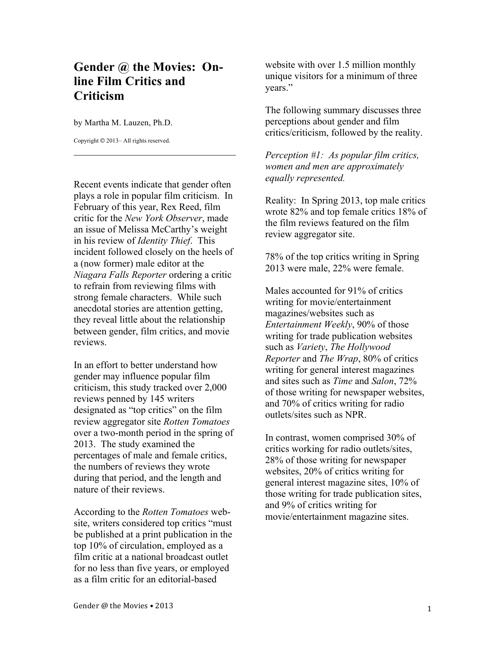## **Gender @ the Movies: Online Film Critics and Criticism**

\_\_\_\_\_\_\_\_\_\_\_\_\_\_\_\_\_\_\_\_\_\_\_\_\_\_\_\_\_\_\_\_\_

by Martha M. Lauzen, Ph.D.

Copyright © 2013– All rights reserved.

Recent events indicate that gender often plays a role in popular film criticism. In February of this year, Rex Reed, film critic for the *New York Observer*, made an issue of Melissa McCarthy's weight in his review of *Identity Thief*. This incident followed closely on the heels of a (now former) male editor at the *Niagara Falls Reporter* ordering a critic to refrain from reviewing films with strong female characters. While such anecdotal stories are attention getting, they reveal little about the relationship between gender, film critics, and movie reviews.

In an effort to better understand how gender may influence popular film criticism, this study tracked over 2,000 reviews penned by 145 writers designated as "top critics" on the film review aggregator site *Rotten Tomatoes* over a two-month period in the spring of 2013. The study examined the percentages of male and female critics, the numbers of reviews they wrote during that period, and the length and nature of their reviews.

According to the *Rotten Tomatoes* website, writers considered top critics "must be published at a print publication in the top 10% of circulation, employed as a film critic at a national broadcast outlet for no less than five years, or employed as a film critic for an editorial-based

website with over 1.5 million monthly unique visitors for a minimum of three years."

The following summary discusses three perceptions about gender and film critics/criticism, followed by the reality.

*Perception #1: As popular film critics, women and men are approximately equally represented.*

Reality: In Spring 2013, top male critics wrote 82% and top female critics 18% of the film reviews featured on the film review aggregator site.

78% of the top critics writing in Spring 2013 were male, 22% were female.

Males accounted for 91% of critics writing for movie/entertainment magazines/websites such as *Entertainment Weekly*, 90% of those writing for trade publication websites such as *Variety*, *The Hollywood Reporter* and *The Wrap*, 80% of critics writing for general interest magazines and sites such as *Time* and *Salon*, 72% of those writing for newspaper websites, and 70% of critics writing for radio outlets/sites such as NPR.

In contrast, women comprised 30% of critics working for radio outlets/sites, 28% of those writing for newspaper websites, 20% of critics writing for general interest magazine sites, 10% of those writing for trade publication sites, and 9% of critics writing for movie/entertainment magazine sites.